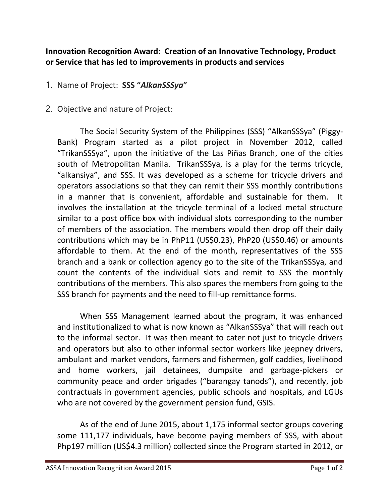## **Innovation Recognition Award: Creation of an Innovative Technology, Product or Service that has led to improvements in products and services**

## 1. Name of Project: **SSS "***AlkanSSSya***"**

2. Objective and nature of Project:

The Social Security System of the Philippines (SSS) "AlkanSSSya" (Piggy-Bank) Program started as a pilot project in November 2012, called "TrikanSSSya", upon the initiative of the Las Piñas Branch, one of the cities south of Metropolitan Manila. TrikanSSSya, is a play for the terms tricycle, "alkansiya", and SSS. It was developed as a scheme for tricycle drivers and operators associations so that they can remit their SSS monthly contributions in a manner that is convenient, affordable and sustainable for them. It involves the installation at the tricycle terminal of a locked metal structure similar to a post office box with individual slots corresponding to the number of members of the association. The members would then drop off their daily contributions which may be in PhP11 (US\$0.23), PhP20 (US\$0.46) or amounts affordable to them. At the end of the month, representatives of the SSS branch and a bank or collection agency go to the site of the TrikanSSSya, and count the contents of the individual slots and remit to SSS the monthly contributions of the members. This also spares the members from going to the SSS branch for payments and the need to fill-up remittance forms.

When SSS Management learned about the program, it was enhanced and institutionalized to what is now known as "AlkanSSSya" that will reach out to the informal sector. It was then meant to cater not just to tricycle drivers and operators but also to other informal sector workers like jeepney drivers, ambulant and market vendors, farmers and fishermen, golf caddies, livelihood and home workers, jail detainees, dumpsite and garbage-pickers or community peace and order brigades ("barangay tanods"), and recently, job contractuals in government agencies, public schools and hospitals, and LGUs who are not covered by the government pension fund, GSIS.

As of the end of June 2015, about 1,175 informal sector groups covering some 111,177 individuals, have become paying members of SSS, with about Php197 million (US\$4.3 million) collected since the Program started in 2012, or